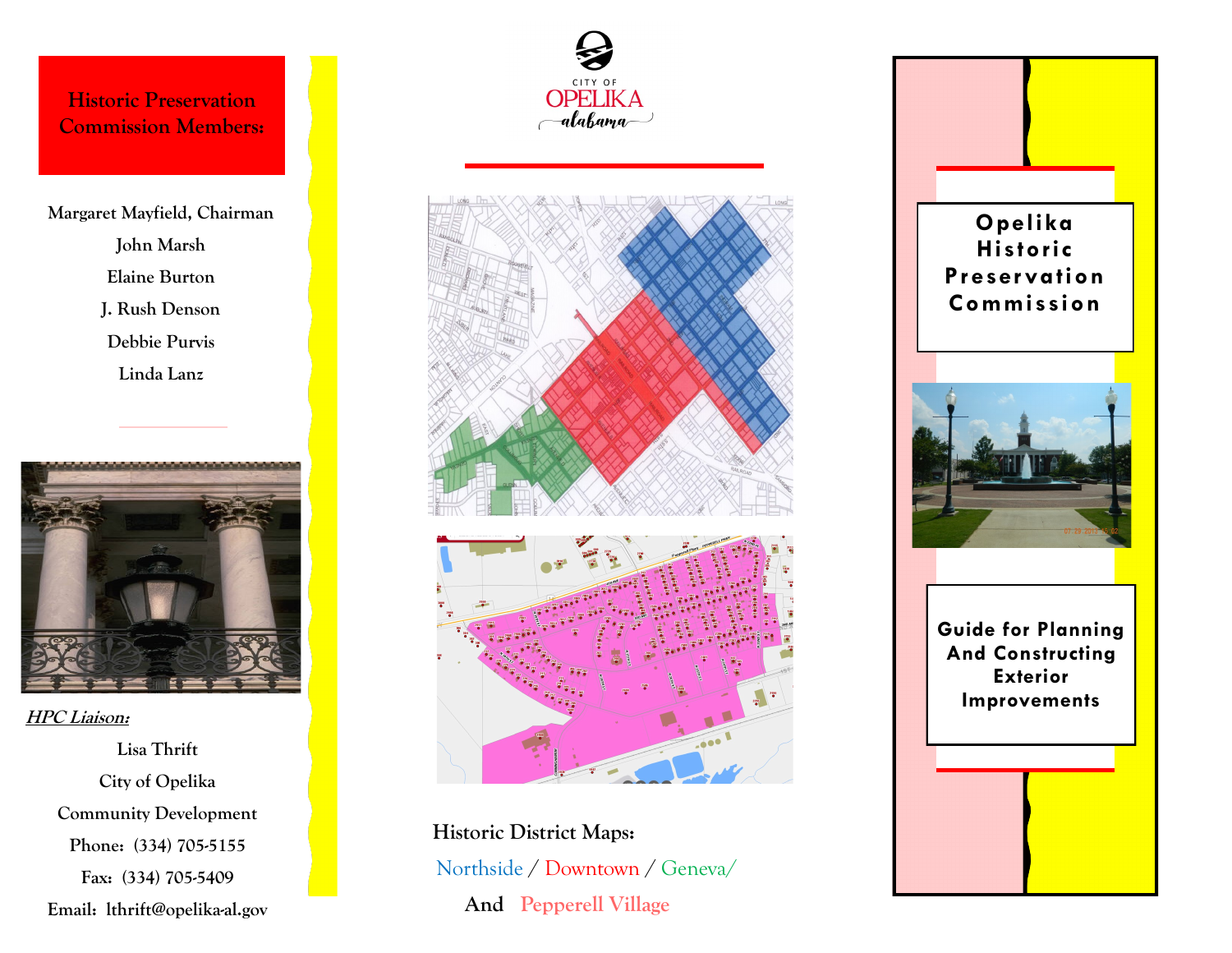**Historic Preservation Commission Members:**

**Margaret Mayfield, Chairman John Marsh Elaine Burton J. Rush Denson Debbie Purvis Linda Lanz**



**HPC Liaison:**

**Lisa Thrift City of Opelika Community Development Phone: (334) 705-5155 Fax: (334) 705-5409 Email: lthrift@opelika-al.gov**





**Historic District Maps:**  Northside / Downtown / Geneva/  **And Pepperell Village**